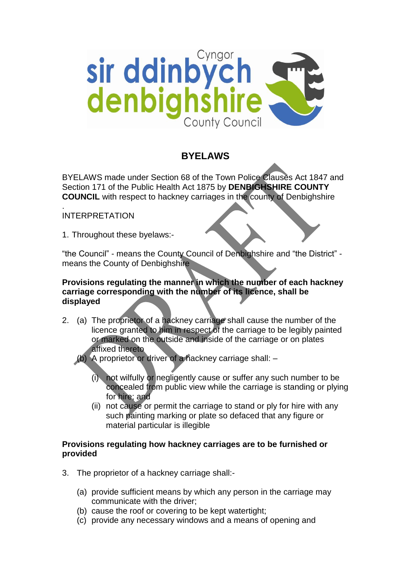

# **BYELAWS**

BYELAWS made under Section 68 of the Town Police Clauses Act 1847 and Section 171 of the Public Health Act 1875 by **DENBIGHSHIRE COUNTY COUNCIL** with respect to hackney carriages in the county of Denbighshire

#### . INTERPRETATION

1. Throughout these byelaws:-

"the Council" - means the County Council of Denbighshire and "the District" means the County of Denbighshire

## **Provisions regulating the manner in which the number of each hackney carriage corresponding with the number of its licence, shall be displayed**

- 2. (a) The proprietor of a hackney carriage shall cause the number of the licence granted to him in respect of the carriage to be legibly painted or marked on the outside and inside of the carriage or on plates affixed thereto
	- (b) A proprietor or driver of a hackney carriage shall:
		- (i) not wilfully or negligently cause or suffer any such number to be concealed from public view while the carriage is standing or plying for hire; and
		- (ii) not cause or permit the carriage to stand or ply for hire with any such painting marking or plate so defaced that any figure or material particular is illegible

## **Provisions regulating how hackney carriages are to be furnished or provided**

- 3. The proprietor of a hackney carriage shall:-
	- (a) provide sufficient means by which any person in the carriage may communicate with the driver;
	- (b) cause the roof or covering to be kept watertight;
	- (c) provide any necessary windows and a means of opening and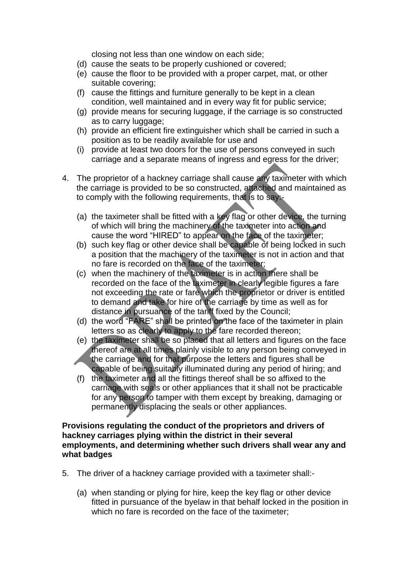closing not less than one window on each side;

- (d) cause the seats to be properly cushioned or covered;
- (e) cause the floor to be provided with a proper carpet, mat, or other suitable covering;
- (f) cause the fittings and furniture generally to be kept in a clean condition, well maintained and in every way fit for public service;
- (g) provide means for securing luggage, if the carriage is so constructed as to carry luggage;
- (h) provide an efficient fire extinguisher which shall be carried in such a position as to be readily available for use and
- (i) provide at least two doors for the use of persons conveyed in such carriage and a separate means of ingress and egress for the driver;
- 4. The proprietor of a hackney carriage shall cause any taximeter with which the carriage is provided to be so constructed, attached and maintained as to comply with the following requirements, that is to say:-
	- (a) the taximeter shall be fitted with a key flag or other device, the turning of which will bring the machinery of the taximeter into action and cause the word "HIRED" to appear on the face of the taximeter;
	- (b) such key flag or other device shall be capable of being locked in such a position that the machinery of the taximeter is not in action and that no fare is recorded on the face of the taximeter;
	- (c) when the machinery of the taximeter is in action there shall be recorded on the face of the taximeter in clearly legible figures a fare not exceeding the rate or fare which the proprietor or driver is entitled to demand and take for hire of the carriage by time as well as for distance in pursuance of the tariff fixed by the Council;
	- (d) the word "FARE" shall be printed on the face of the taximeter in plain letters so as clearly to apply to the fare recorded thereon;
	- (e) the taximeter shall be so placed that all letters and figures on the face thereof are at all times plainly visible to any person being conveyed in the carriage and for that purpose the letters and figures shall be capable of being suitably illuminated during any period of hiring; and
	- (f) the taximeter and all the fittings thereof shall be so affixed to the carriage with seals or other appliances that it shall not be practicable for any person to tamper with them except by breaking, damaging or permanently displacing the seals or other appliances.

### **Provisions regulating the conduct of the proprietors and drivers of hackney carriages plying within the district in their several employments, and determining whether such drivers shall wear any and what badges**

- 5. The driver of a hackney carriage provided with a taximeter shall:-
	- (a) when standing or plying for hire, keep the key flag or other device fitted in pursuance of the byelaw in that behalf locked in the position in which no fare is recorded on the face of the taximeter;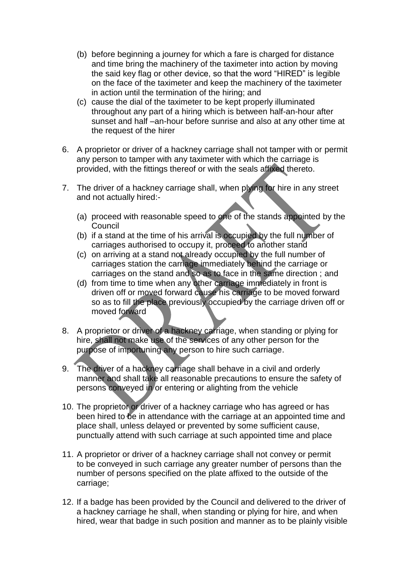- (b) before beginning a journey for which a fare is charged for distance and time bring the machinery of the taximeter into action by moving the said key flag or other device, so that the word "HIRED" is legible on the face of the taximeter and keep the machinery of the taximeter in action until the termination of the hiring; and
- (c) cause the dial of the taximeter to be kept properly illuminated throughout any part of a hiring which is between half-an-hour after sunset and half –an-hour before sunrise and also at any other time at the request of the hirer
- 6. A proprietor or driver of a hackney carriage shall not tamper with or permit any person to tamper with any taximeter with which the carriage is provided, with the fittings thereof or with the seals affixed thereto.
- 7. The driver of a hackney carriage shall, when plying for hire in any street and not actually hired:-
	- (a) proceed with reasonable speed to one of the stands appointed by the Council
	- (b) if a stand at the time of his arrival is occupied by the full number of carriages authorised to occupy it, proceed to another stand
	- (c) on arriving at a stand not already occupied by the full number of carriages station the carriage immediately behind the carriage or carriages on the stand and so as to face in the same direction ; and
	- (d) from time to time when any other carriage immediately in front is driven off or moved forward cause his carriage to be moved forward so as to fill the place previously occupied by the carriage driven off or moved forward
- 8. A proprietor or driver of a hackney carriage, when standing or plying for hire, shall not make use of the services of any other person for the purpose of importuning any person to hire such carriage.
- 9. The driver of a hackney carriage shall behave in a civil and orderly manner and shall take all reasonable precautions to ensure the safety of persons conveyed in or entering or alighting from the vehicle
- 10. The proprietor or driver of a hackney carriage who has agreed or has been hired to be in attendance with the carriage at an appointed time and place shall, unless delayed or prevented by some sufficient cause, punctually attend with such carriage at such appointed time and place
- 11. A proprietor or driver of a hackney carriage shall not convey or permit to be conveyed in such carriage any greater number of persons than the number of persons specified on the plate affixed to the outside of the carriage;
- 12. If a badge has been provided by the Council and delivered to the driver of a hackney carriage he shall, when standing or plying for hire, and when hired, wear that badge in such position and manner as to be plainly visible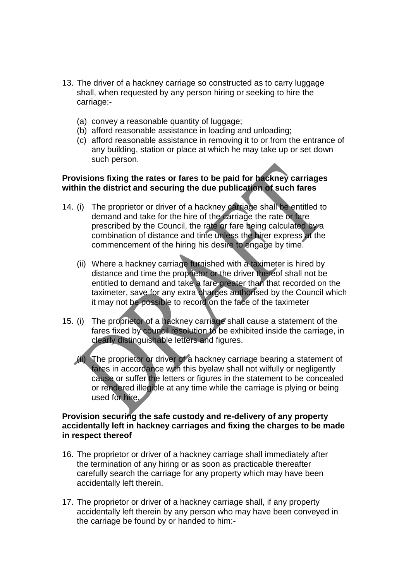- 13. The driver of a hackney carriage so constructed as to carry luggage shall, when requested by any person hiring or seeking to hire the carriage:-
	- (a) convey a reasonable quantity of luggage;
	- (b) afford reasonable assistance in loading and unloading;
	- (c) afford reasonable assistance in removing it to or from the entrance of any building, station or place at which he may take up or set down such person.

## **Provisions fixing the rates or fares to be paid for hackney carriages within the district and securing the due publication of such fares**

- 14. (i) The proprietor or driver of a hackney carriage shall be entitled to demand and take for the hire of the carriage the rate or fare prescribed by the Council, the rate or fare being calculated by a combination of distance and time unless the hirer express at the commencement of the hiring his desire to engage by time.
	- (ii) Where a hackney carriage furnished with a taximeter is hired by distance and time the proprietor or the driver thereof shall not be entitled to demand and take a fare greater than that recorded on the taximeter, save for any extra charges authorised by the Council which it may not be possible to record on the face of the taximeter
- 15. (i) The proprietor of a hackney carriage shall cause a statement of the fares fixed by council resolution to be exhibited inside the carriage, in clearly distinguishable letters and figures.
	- (ii) The proprietor or driver of a hackney carriage bearing a statement of fares in accordance with this byelaw shall not wilfully or negligently cause or suffer the letters or figures in the statement to be concealed or rendered illegible at any time while the carriage is plying or being used for hire.

#### **Provision securing the safe custody and re-delivery of any property accidentally left in hackney carriages and fixing the charges to be made in respect thereof**

- 16. The proprietor or driver of a hackney carriage shall immediately after the termination of any hiring or as soon as practicable thereafter carefully search the carriage for any property which may have been accidentally left therein.
- 17. The proprietor or driver of a hackney carriage shall, if any property accidentally left therein by any person who may have been conveyed in the carriage be found by or handed to him:-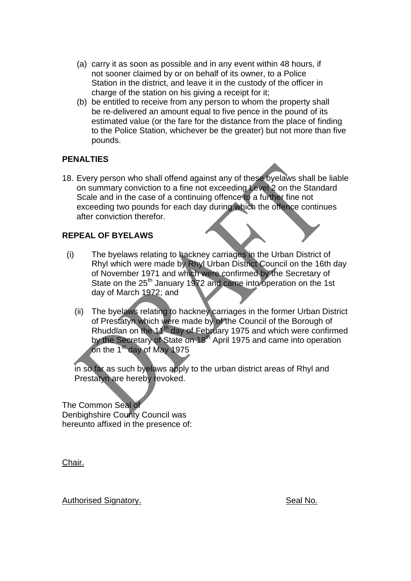- (a) carry it as soon as possible and in any event within 48 hours, if not sooner claimed by or on behalf of its owner, to a Police Station in the district, and leave it in the custody of the officer in charge of the station on his giving a receipt for it;
- (b) be entitled to receive from any person to whom the property shall be re-delivered an amount equal to five pence in the pound of its estimated value (or the fare for the distance from the place of finding to the Police Station, whichever be the greater) but not more than five pounds.

## **PENALTIES**

18. Every person who shall offend against any of these byelaws shall be liable on summary conviction to a fine not exceeding Level 2 on the Standard Scale and in the case of a continuing offence to a further fine not exceeding two pounds for each day during which the offence continues after conviction therefor.

## **REPEAL OF BYELAWS**

- (i) The byelaws relating to hackney carriages in the Urban District of Rhyl which were made by Rhyl Urban District Council on the 16th day of November 1971 and which were confirmed by the Secretary of State on the 25<sup>th</sup> January 1972 and came into operation on the 1st day of March 1972; and
	- (ii) The byelaws relating to hackney carriages in the former Urban District of Prestatyn which were made by of the Council of the Borough of Rhuddlan on the 11<sup>th</sup> day of February 1975 and which were confirmed by the Secretary of State on 18<sup>th</sup> April 1975 and came into operation on the 1<sup>st</sup> day of May 1975

in so far as such byelaws apply to the urban district areas of Rhyl and Prestatyn are hereby revoked.

The Common Seal of Denbighshire County Council was hereunto affixed in the presence of:

Chair.

Authorised Signatory. **Seal No.** Seal No.